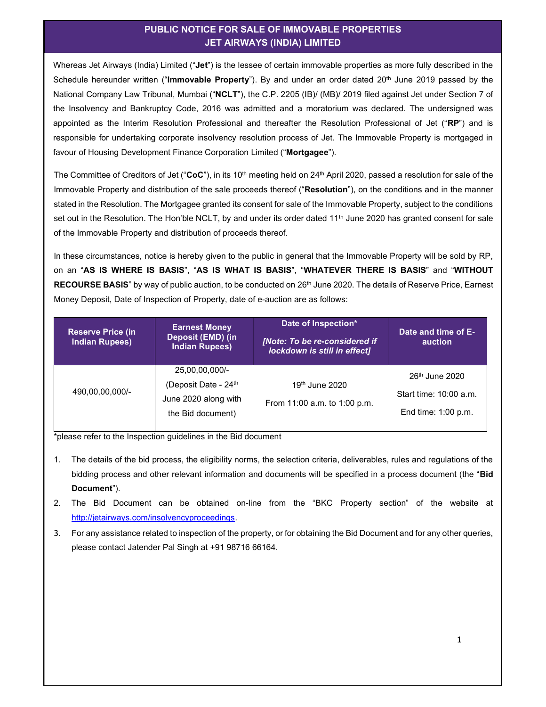## PUBLIC NOTICE FOR SALE OF IMMOVABLE PROPERTIES JET AIRWAYS (INDIA) LIMITED

Whereas Jet Airways (India) Limited ("Jet") is the lessee of certain immovable properties as more fully described in the Schedule hereunder written ("Immovable Property"). By and under an order dated 20<sup>th</sup> June 2019 passed by the National Company Law Tribunal, Mumbai ("NCLT"), the C.P. 2205 (IB)/ (MB)/ 2019 filed against Jet under Section 7 of the Insolvency and Bankruptcy Code, 2016 was admitted and a moratorium was declared. The undersigned was appointed as the Interim Resolution Professional and thereafter the Resolution Professional of Jet ("RP") and is responsible for undertaking corporate insolvency resolution process of Jet. The Immovable Property is mortgaged in favour of Housing Development Finance Corporation Limited ("Mortgagee").

The Committee of Creditors of Jet ("CoC"), in its 10<sup>th</sup> meeting held on 24<sup>th</sup> April 2020, passed a resolution for sale of the Immovable Property and distribution of the sale proceeds thereof ("Resolution"), on the conditions and in the manner stated in the Resolution. The Mortgagee granted its consent for sale of the Immovable Property, subject to the conditions set out in the Resolution. The Hon'ble NCLT, by and under its order dated 11<sup>th</sup> June 2020 has granted consent for sale of the Immovable Property and distribution of proceeds thereof.

In these circumstances, notice is hereby given to the public in general that the Immovable Property will be sold by RP, on an "AS IS WHERE IS BASIS", "AS IS WHAT IS BASIS", "WHATEVER THERE IS BASIS" and "WITHOUT RECOURSE BASIS" by way of public auction, to be conducted on 26<sup>th</sup> June 2020. The details of Reserve Price, Earnest Money Deposit, Date of Inspection of Property, date of e-auction are as follows:

| <b>Reserve Price (in</b><br><b>Indian Rupees)</b> | <b>Earnest Money</b><br>Deposit (EMD) (in<br><b>Indian Rupees)</b>                    | Date of Inspection*<br>[Note: To be re-considered if<br>lockdown is still in effect] | Date and time of E-<br><b>auction</b>                                       |
|---------------------------------------------------|---------------------------------------------------------------------------------------|--------------------------------------------------------------------------------------|-----------------------------------------------------------------------------|
| 490,00,00,000/-                                   | 25,00,00,000/-<br>(Deposit Date - $24th$<br>June 2020 along with<br>the Bid document) | 19 <sup>th</sup> June 2020<br>From 11:00 a.m. to 1:00 p.m.                           | 26 <sup>th</sup> June 2020<br>Start time: 10:00 a.m.<br>End time: 1:00 p.m. |

\*please refer to the Inspection guidelines in the Bid document

- 1. The details of the bid process, the eligibility norms, the selection criteria, deliverables, rules and regulations of the bidding process and other relevant information and documents will be specified in a process document (the "Bid Document").
- 2. The Bid Document can be obtained on-line from the "BKC Property section" of the website at http://jetairways.com/insolvencyproceedings.
- 3. For any assistance related to inspection of the property, or for obtaining the Bid Document and for any other queries, please contact Jatender Pal Singh at +91 98716 66164.